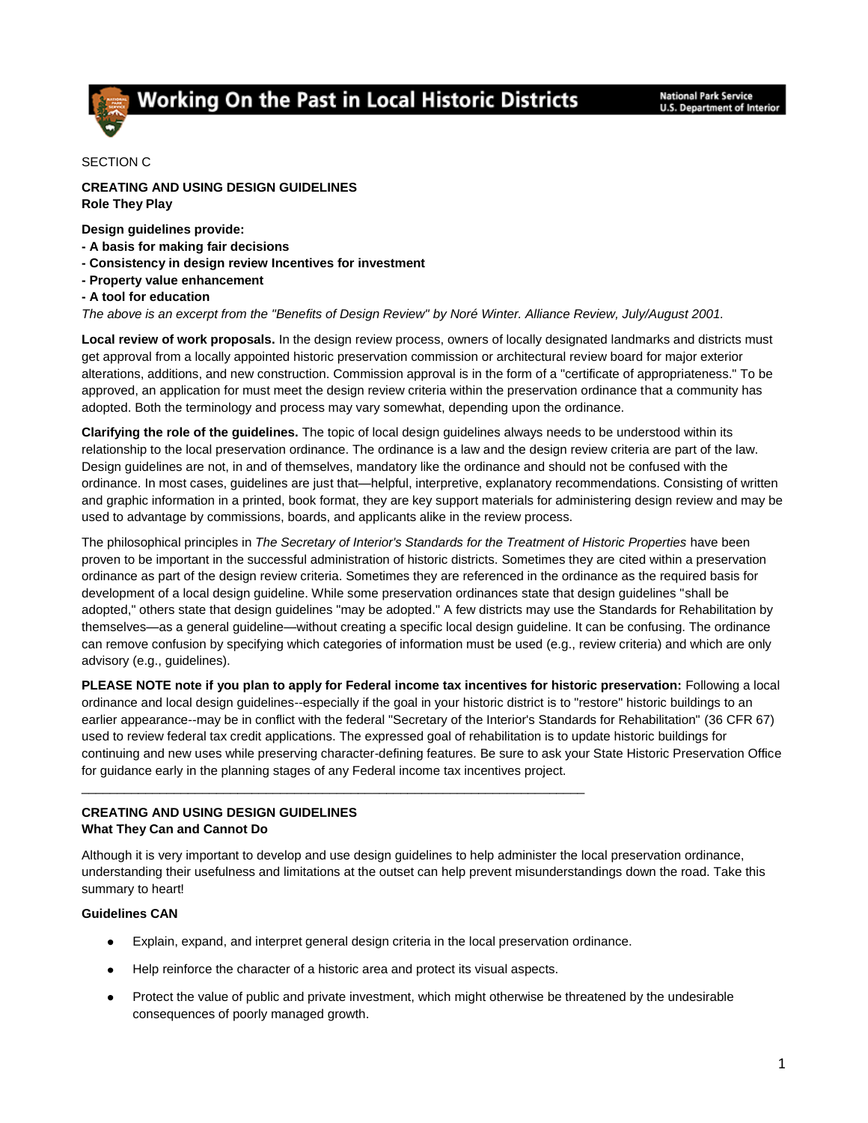# Working On the Past in Local Historic Districts

## SECTION C

## **CREATING AND USING DESIGN GUIDELINES Role They Play**

**Design guidelines provide:**

- **- A basis for making fair decisions**
- **- Consistency in design review Incentives for investment**
- **- Property value enhancement**
- **- A tool for education**

*The above is an excerpt from the "Benefits of Design Review" by Noré Winter. Alliance Review, July/August 2001.* 

**Local review of work proposals.** In the design review process, owners of locally designated landmarks and districts must get approval from a locally appointed historic preservation commission or architectural review board for major exterior alterations, additions, and new construction. Commission approval is in the form of a "certificate of appropriateness." To be approved, an application for must meet the design review criteria within the preservation ordinance that a community has adopted. Both the terminology and process may vary somewhat, depending upon the ordinance.

**Clarifying the role of the guidelines.** The topic of local design guidelines always needs to be understood within its relationship to the local preservation ordinance. The ordinance is a law and the design review criteria are part of the law. Design guidelines are not, in and of themselves, mandatory like the ordinance and should not be confused with the ordinance. In most cases, guidelines are just that—helpful, interpretive, explanatory recommendations. Consisting of written and graphic information in a printed, book format, they are key support materials for administering design review and may be used to advantage by commissions, boards, and applicants alike in the review process.

The philosophical principles in *The Secretary of Interior's Standards for the Treatment of Historic Properties* have been proven to be important in the successful administration of historic districts. Sometimes they are cited within a preservation ordinance as part of the design review criteria. Sometimes they are referenced in the ordinance as the required basis for development of a local design guideline. While some preservation ordinances state that design guidelines "shall be adopted," others state that design guidelines "may be adopted." A few districts may use the Standards for Rehabilitation by themselves—as a general guideline—without creating a specific local design guideline. It can be confusing. The ordinance can remove confusion by specifying which categories of information must be used (e.g., review criteria) and which are only advisory (e.g., guidelines).

**PLEASE NOTE note if you plan to apply for Federal income tax incentives for historic preservation:** Following a local ordinance and local design guidelines--especially if the goal in your historic district is to "restore" historic buildings to an earlier appearance--may be in conflict with the federal "Secretary of the Interior's Standards for Rehabilitation" (36 CFR 67) used to review federal tax credit applications. The expressed goal of rehabilitation is to update historic buildings for continuing and new uses while preserving character-defining features. Be sure to ask your State Historic Preservation Office for guidance early in the planning stages of any Federal income tax incentives project.

## **CREATING AND USING DESIGN GUIDELINES What They Can and Cannot Do**

Although it is very important to develop and use design guidelines to help administer the local preservation ordinance, understanding their usefulness and limitations at the outset can help prevent misunderstandings down the road. Take this summary to heart!

## **Guidelines CAN**

- Explain, expand, and interpret general design criteria in the local preservation ordinance.  $\bullet$
- Help reinforce the character of a historic area and protect its visual aspects.  $\bullet$

\_\_\_\_\_\_\_\_\_\_\_\_\_\_\_\_\_\_\_\_\_\_\_\_\_\_\_\_\_\_\_\_\_\_\_\_\_\_\_\_\_\_\_\_\_\_\_\_\_\_\_\_\_\_\_\_\_\_\_\_\_\_\_\_\_\_\_\_\_\_\_

Protect the value of public and private investment, which might otherwise be threatened by the undesirable  $\bullet$ consequences of poorly managed growth.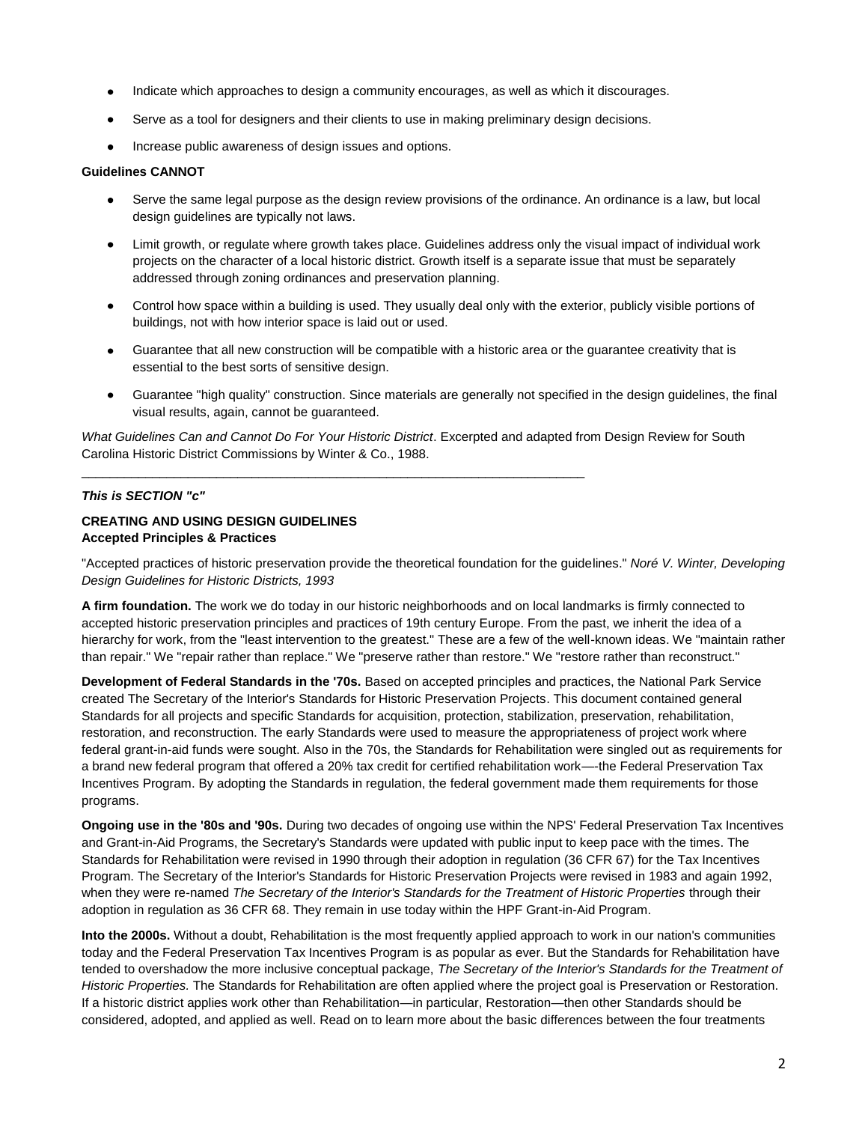- Indicate which approaches to design a community encourages, as well as which it discourages.  $\bullet$
- Serve as a tool for designers and their clients to use in making preliminary design decisions.  $\bullet$
- $\bullet$ Increase public awareness of design issues and options.

#### **Guidelines CANNOT**

- Serve the same legal purpose as the design review provisions of the ordinance. An ordinance is a law, but local design guidelines are typically not laws.
- $\bullet$ Limit growth, or regulate where growth takes place. Guidelines address only the visual impact of individual work projects on the character of a local historic district. Growth itself is a separate issue that must be separately addressed through zoning ordinances and preservation planning.
- $\bullet$ Control how space within a building is used. They usually deal only with the exterior, publicly visible portions of buildings, not with how interior space is laid out or used.
- $\bullet$ Guarantee that all new construction will be compatible with a historic area or the guarantee creativity that is essential to the best sorts of sensitive design.
- Guarantee "high quality" construction. Since materials are generally not specified in the design guidelines, the final  $\bullet$ visual results, again, cannot be guaranteed.

*What Guidelines Can and Cannot Do For Your Historic District*. Excerpted and adapted from Design Review for South Carolina Historic District Commissions by Winter & Co., 1988.

\_\_\_\_\_\_\_\_\_\_\_\_\_\_\_\_\_\_\_\_\_\_\_\_\_\_\_\_\_\_\_\_\_\_\_\_\_\_\_\_\_\_\_\_\_\_\_\_\_\_\_\_\_\_\_\_\_\_\_\_\_\_\_\_\_\_\_\_\_\_\_

## *This is SECTION "c"*

## **CREATING AND USING DESIGN GUIDELINES Accepted Principles & Practices**

"Accepted practices of historic preservation provide the theoretical foundation for the guidelines." *Noré V. Winter, Developing Design Guidelines for Historic Districts, 1993*

**A firm foundation.** The work we do today in our historic neighborhoods and on local landmarks is firmly connected to accepted historic preservation principles and practices of 19th century Europe. From the past, we inherit the idea of a hierarchy for work, from the "least intervention to the greatest." These are a few of the well-known ideas. We "maintain rather than repair." We "repair rather than replace." We "preserve rather than restore." We "restore rather than reconstruct."

**Development of Federal Standards in the '70s.** Based on accepted principles and practices, the National Park Service created The Secretary of the Interior's Standards for Historic Preservation Projects. This document contained general Standards for all projects and specific Standards for acquisition, protection, stabilization, preservation, rehabilitation, restoration, and reconstruction. The early Standards were used to measure the appropriateness of project work where federal grant-in-aid funds were sought. Also in the 70s, the Standards for Rehabilitation were singled out as requirements for a brand new federal program that offered a 20% tax credit for certified rehabilitation work—-the Federal Preservation Tax Incentives Program. By adopting the Standards in regulation, the federal government made them requirements for those programs.

**Ongoing use in the '80s and '90s.** During two decades of ongoing use within the NPS' Federal Preservation Tax Incentives and Grant-in-Aid Programs, the Secretary's Standards were updated with public input to keep pace with the times. The Standards for Rehabilitation were revised in 1990 through their adoption in regulation (36 CFR 67) for the Tax Incentives Program. The Secretary of the Interior's Standards for Historic Preservation Projects were revised in 1983 and again 1992, when they were re-named *The Secretary of the Interior's Standards for the Treatment of Historic Properties* through their adoption in regulation as 36 CFR 68. They remain in use today within the HPF Grant-in-Aid Program.

**Into the 2000s.** Without a doubt, Rehabilitation is the most frequently applied approach to work in our nation's communities today and the Federal Preservation Tax Incentives Program is as popular as ever. But the Standards for Rehabilitation have tended to overshadow the more inclusive conceptual package, *The Secretary of the Interior's Standards for the Treatment of Historic Properties.* The Standards for Rehabilitation are often applied where the project goal is Preservation or Restoration. If a historic district applies work other than Rehabilitation—in particular, Restoration—then other Standards should be considered, adopted, and applied as well. Read on to learn more about the basic differences between the four treatments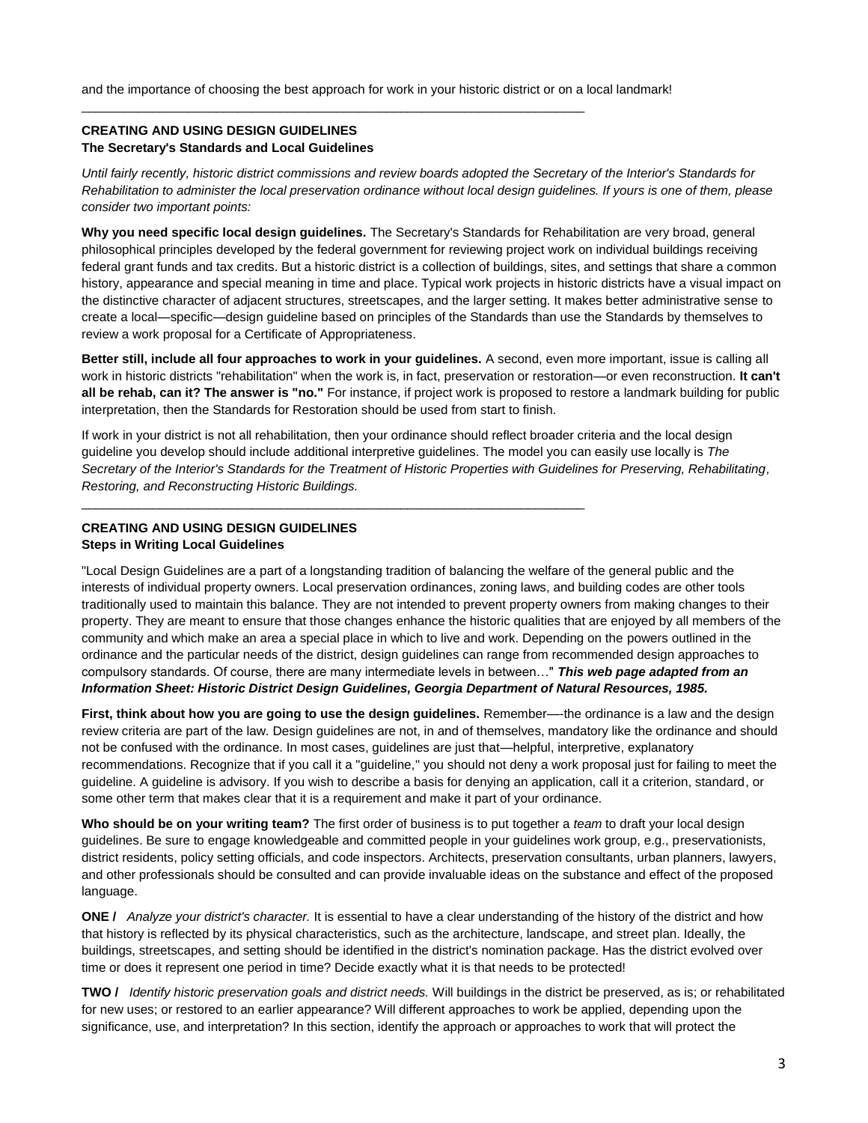and the importance of choosing the best approach for work in your historic district or on a local landmark!

\_\_\_\_\_\_\_\_\_\_\_\_\_\_\_\_\_\_\_\_\_\_\_\_\_\_\_\_\_\_\_\_\_\_\_\_\_\_\_\_\_\_\_\_\_\_\_\_\_\_\_\_\_\_\_\_\_\_\_\_\_\_\_\_\_\_\_\_\_\_\_

\_\_\_\_\_\_\_\_\_\_\_\_\_\_\_\_\_\_\_\_\_\_\_\_\_\_\_\_\_\_\_\_\_\_\_\_\_\_\_\_\_\_\_\_\_\_\_\_\_\_\_\_\_\_\_\_\_\_\_\_\_\_\_\_\_\_\_\_\_\_\_

## **CREATING AND USING DESIGN GUIDELINES The Secretary's Standards and Local Guidelines**

*Until fairly recently, historic district commissions and review boards adopted the Secretary of the Interior's Standards for Rehabilitation to administer the local preservation ordinance without local design guidelines. If yours is one of them, please consider two important points:* 

**Why you need specific local design guidelines.** The Secretary's Standards for Rehabilitation are very broad, general philosophical principles developed by the federal government for reviewing project work on individual buildings receiving federal grant funds and tax credits. But a historic district is a collection of buildings, sites, and settings that share a common history, appearance and special meaning in time and place. Typical work projects in historic districts have a visual impact on the distinctive character of adjacent structures, streetscapes, and the larger setting. It makes better administrative sense to create a local—specific—design guideline based on principles of the Standards than use the Standards by themselves to review a work proposal for a Certificate of Appropriateness.

**Better still, include all four approaches to work in your guidelines.** A second, even more important, issue is calling all work in historic districts "rehabilitation" when the work is, in fact, preservation or restoration—or even reconstruction. **It can't all be rehab, can it? The answer is "no."** For instance, if project work is proposed to restore a landmark building for public interpretation, then the Standards for Restoration should be used from start to finish.

If work in your district is not all rehabilitation, then your ordinance should reflect broader criteria and the local design guideline you develop should include additional interpretive guidelines. The model you can easily use locally is *The Secretary of the Interior's Standards for the Treatment of Historic Properties with Guidelines for Preserving, Rehabilitating, Restoring, and Reconstructing Historic Buildings.*

# **CREATING AND USING DESIGN GUIDELINES Steps in Writing Local Guidelines**

"Local Design Guidelines are a part of a longstanding tradition of balancing the welfare of the general public and the interests of individual property owners. Local preservation ordinances, zoning laws, and building codes are other tools traditionally used to maintain this balance. They are not intended to prevent property owners from making changes to their property. They are meant to ensure that those changes enhance the historic qualities that are enjoyed by all members of the community and which make an area a special place in which to live and work. Depending on the powers outlined in the ordinance and the particular needs of the district, design guidelines can range from recommended design approaches to compulsory standards. Of course, there are many intermediate levels in between…" *This web page adapted from an Information Sheet: Historic District Design Guidelines, Georgia Department of Natural Resources, 1985.* 

**First, think about how you are going to use the design guidelines.** Remember—-the ordinance is a law and the design review criteria are part of the law. Design guidelines are not, in and of themselves, mandatory like the ordinance and should not be confused with the ordinance. In most cases, guidelines are just that—helpful, interpretive, explanatory recommendations. Recognize that if you call it a "guideline," you should not deny a work proposal just for failing to meet the guideline. A guideline is advisory. If you wish to describe a basis for denying an application, call it a criterion, standard, or some other term that makes clear that it is a requirement and make it part of your ordinance.

**Who should be on your writing team?** The first order of business is to put together a *team* to draft your local design guidelines. Be sure to engage knowledgeable and committed people in your guidelines work group, e.g., preservationists, district residents, policy setting officials, and code inspectors. Architects, preservation consultants, urban planners, lawyers, and other professionals should be consulted and can provide invaluable ideas on the substance and effect of the proposed language.

**ONE /** *Analyze your district's character.* It is essential to have a clear understanding of the history of the district and how that history is reflected by its physical characteristics, such as the architecture, landscape, and street plan. Ideally, the buildings, streetscapes, and setting should be identified in the district's nomination package. Has the district evolved over time or does it represent one period in time? Decide exactly what it is that needs to be protected!

**TWO /** *Identify historic preservation goals and district needs.* Will buildings in the district be preserved, as is; or rehabilitated for new uses; or restored to an earlier appearance? Will different approaches to work be applied, depending upon the significance, use, and interpretation? In this section, identify the approach or approaches to work that will protect the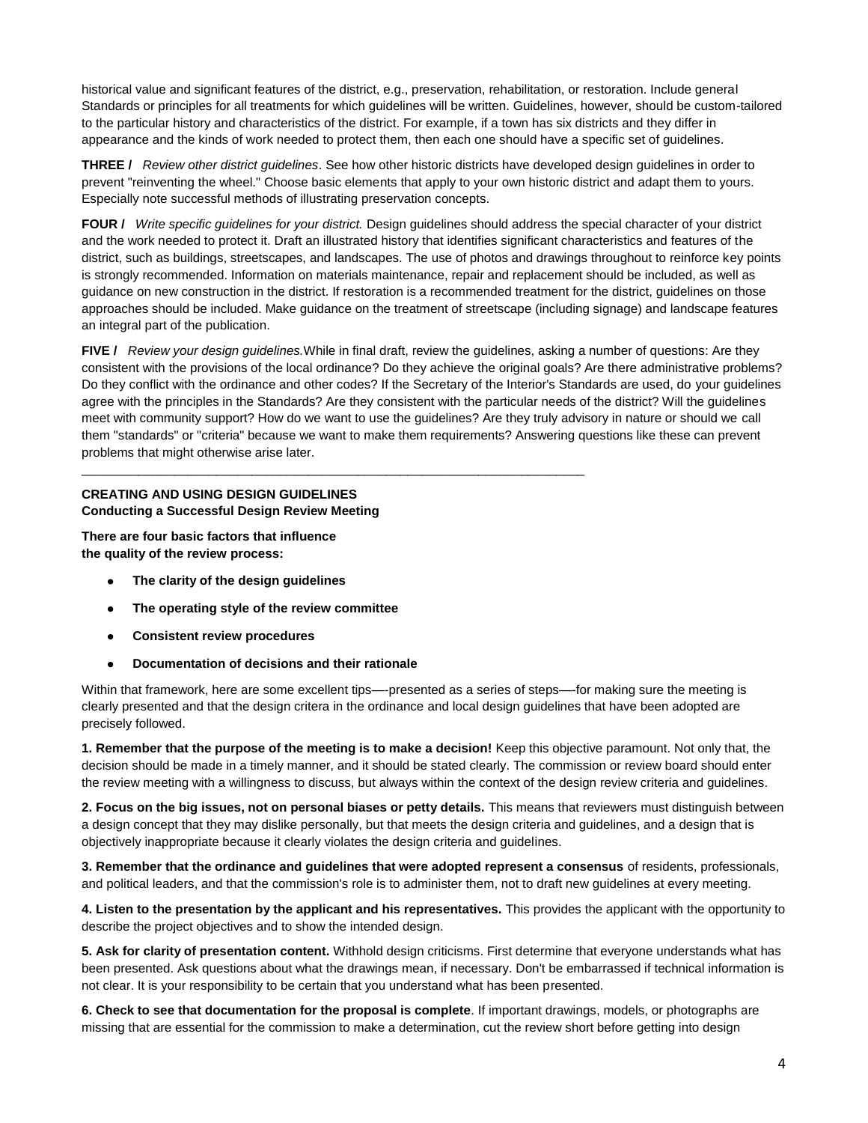historical value and significant features of the district, e.g., preservation, rehabilitation, or restoration. Include general Standards or principles for all treatments for which guidelines will be written. Guidelines, however, should be custom-tailored to the particular history and characteristics of the district. For example, if a town has six districts and they differ in appearance and the kinds of work needed to protect them, then each one should have a specific set of guidelines.

**THREE /** *Review other district guidelines*. See how other historic districts have developed design guidelines in order to prevent "reinventing the wheel." Choose basic elements that apply to your own historic district and adapt them to yours. Especially note successful methods of illustrating preservation concepts.

**FOUR /** *Write specific guidelines for your district.* Design guidelines should address the special character of your district and the work needed to protect it. Draft an illustrated history that identifies significant characteristics and features of the district, such as buildings, streetscapes, and landscapes. The use of photos and drawings throughout to reinforce key points is strongly recommended. Information on materials maintenance, repair and replacement should be included, as well as guidance on new construction in the district. If restoration is a recommended treatment for the district, guidelines on those approaches should be included. Make guidance on the treatment of streetscape (including signage) and landscape features an integral part of the publication.

**FIVE /** *Review your design guidelines.*While in final draft, review the guidelines, asking a number of questions: Are they consistent with the provisions of the local ordinance? Do they achieve the original goals? Are there administrative problems? Do they conflict with the ordinance and other codes? If the Secretary of the Interior's Standards are used, do your guidelines agree with the principles in the Standards? Are they consistent with the particular needs of the district? Will the guidelines meet with community support? How do we want to use the guidelines? Are they truly advisory in nature or should we call them "standards" or "criteria" because we want to make them requirements? Answering questions like these can prevent problems that might otherwise arise later.

### **CREATING AND USING DESIGN GUIDELINES Conducting a Successful Design Review Meeting**

**There are four basic factors that influence the quality of the review process:** 

- **The clarity of the design guidelines**  $\bullet$
- **The operating style of the review committee**  $\bullet$

\_\_\_\_\_\_\_\_\_\_\_\_\_\_\_\_\_\_\_\_\_\_\_\_\_\_\_\_\_\_\_\_\_\_\_\_\_\_\_\_\_\_\_\_\_\_\_\_\_\_\_\_\_\_\_\_\_\_\_\_\_\_\_\_\_\_\_\_\_\_\_

- $\bullet$ **Consistent review procedures**
- **Documentation of decisions and their rationale**  $\bullet$

Within that framework, here are some excellent tips—-presented as a series of steps—-for making sure the meeting is clearly presented and that the design critera in the ordinance and local design guidelines that have been adopted are precisely followed.

**1. Remember that the purpose of the meeting is to make a decision!** Keep this objective paramount. Not only that, the decision should be made in a timely manner, and it should be stated clearly. The commission or review board should enter the review meeting with a willingness to discuss, but always within the context of the design review criteria and guidelines.

**2. Focus on the big issues, not on personal biases or petty details.** This means that reviewers must distinguish between a design concept that they may dislike personally, but that meets the design criteria and guidelines, and a design that is objectively inappropriate because it clearly violates the design criteria and guidelines.

**3. Remember that the ordinance and guidelines that were adopted represent a consensus** of residents, professionals, and political leaders, and that the commission's role is to administer them, not to draft new guidelines at every meeting.

**4. Listen to the presentation by the applicant and his representatives.** This provides the applicant with the opportunity to describe the project objectives and to show the intended design.

**5. Ask for clarity of presentation content.** Withhold design criticisms. First determine that everyone understands what has been presented. Ask questions about what the drawings mean, if necessary. Don't be embarrassed if technical information is not clear. It is your responsibility to be certain that you understand what has been presented.

**6. Check to see that documentation for the proposal is complete**. If important drawings, models, or photographs are missing that are essential for the commission to make a determination, cut the review short before getting into design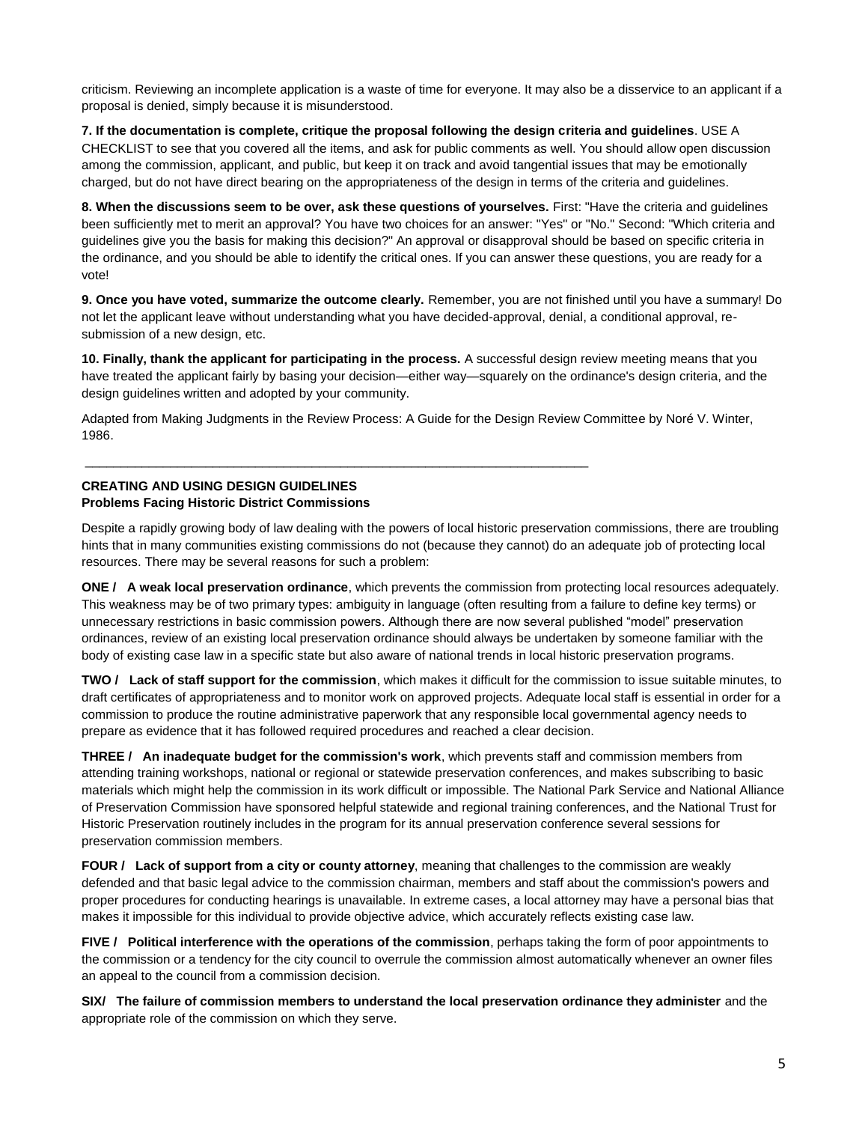criticism. Reviewing an incomplete application is a waste of time for everyone. It may also be a disservice to an applicant if a proposal is denied, simply because it is misunderstood.

#### **7. If the documentation is complete, critique the proposal following the design criteria and guidelines**. USE A

CHECKLIST to see that you covered all the items, and ask for public comments as well. You should allow open discussion among the commission, applicant, and public, but keep it on track and avoid tangential issues that may be emotionally charged, but do not have direct bearing on the appropriateness of the design in terms of the criteria and guidelines.

**8. When the discussions seem to be over, ask these questions of yourselves.** First: "Have the criteria and guidelines been sufficiently met to merit an approval? You have two choices for an answer: "Yes" or "No." Second: "Which criteria and guidelines give you the basis for making this decision?" An approval or disapproval should be based on specific criteria in the ordinance, and you should be able to identify the critical ones. If you can answer these questions, you are ready for a vote!

**9. Once you have voted, summarize the outcome clearly.** Remember, you are not finished until you have a summary! Do not let the applicant leave without understanding what you have decided-approval, denial, a conditional approval, resubmission of a new design, etc.

**10. Finally, thank the applicant for participating in the process.** A successful design review meeting means that you have treated the applicant fairly by basing your decision—either way—squarely on the ordinance's design criteria, and the design guidelines written and adopted by your community.

Adapted from Making Judgments in the Review Process: A Guide for the Design Review Committee by Noré V. Winter, 1986.

 $\overline{a}$  , and the set of the set of the set of the set of the set of the set of the set of the set of the set of the set of the set of the set of the set of the set of the set of the set of the set of the set of the set

## **CREATING AND USING DESIGN GUIDELINES Problems Facing Historic District Commissions**

Despite a rapidly growing body of law dealing with the powers of local historic preservation commissions, there are troubling hints that in many communities existing commissions do not (because they cannot) do an adequate job of protecting local resources. There may be several reasons for such a problem:

**ONE / A weak local preservation ordinance**, which prevents the commission from protecting local resources adequately. This weakness may be of two primary types: ambiguity in language (often resulting from a failure to define key terms) or unnecessary restrictions in basic commission powers. Although there are now several published "model" preservation ordinances, review of an existing local preservation ordinance should always be undertaken by someone familiar with the body of existing case law in a specific state but also aware of national trends in local historic preservation programs.

**TWO / Lack of staff support for the commission**, which makes it difficult for the commission to issue suitable minutes, to draft certificates of appropriateness and to monitor work on approved projects. Adequate local staff is essential in order for a commission to produce the routine administrative paperwork that any responsible local governmental agency needs to prepare as evidence that it has followed required procedures and reached a clear decision.

**THREE / An inadequate budget for the commission's work**, which prevents staff and commission members from attending training workshops, national or regional or statewide preservation conferences, and makes subscribing to basic materials which might help the commission in its work difficult or impossible. The National Park Service and National Alliance of Preservation Commission have sponsored helpful statewide and regional training conferences, and the National Trust for Historic Preservation routinely includes in the program for its annual preservation conference several sessions for preservation commission members.

**FOUR / Lack of support from a city or county attorney**, meaning that challenges to the commission are weakly defended and that basic legal advice to the commission chairman, members and staff about the commission's powers and proper procedures for conducting hearings is unavailable. In extreme cases, a local attorney may have a personal bias that makes it impossible for this individual to provide objective advice, which accurately reflects existing case law.

**FIVE / Political interference with the operations of the commission**, perhaps taking the form of poor appointments to the commission or a tendency for the city council to overrule the commission almost automatically whenever an owner files an appeal to the council from a commission decision.

**SIX/ The failure of commission members to understand the local preservation ordinance they administer** and the appropriate role of the commission on which they serve.